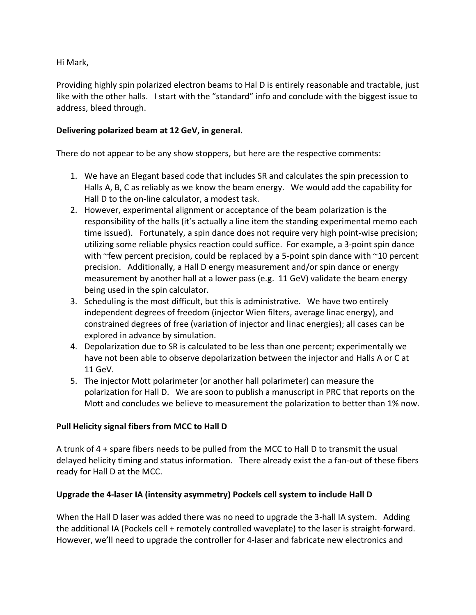Hi Mark,

Providing highly spin polarized electron beams to Hal D is entirely reasonable and tractable, just like with the other halls. I start with the "standard" info and conclude with the biggest issue to address, bleed through.

## **Delivering polarized beam at 12 GeV, in general.**

There do not appear to be any show stoppers, but here are the respective comments:

- 1. We have an Elegant based code that includes SR and calculates the spin precession to Halls A, B, C as reliably as we know the beam energy. We would add the capability for Hall D to the on-line calculator, a modest task.
- 2. However, experimental alignment or acceptance of the beam polarization is the responsibility of the halls (it's actually a line item the standing experimental memo each time issued). Fortunately, a spin dance does not require very high point-wise precision; utilizing some reliable physics reaction could suffice. For example, a 3-point spin dance with ~few percent precision, could be replaced by a 5-point spin dance with ~10 percent precision. Additionally, a Hall D energy measurement and/or spin dance or energy measurement by another hall at a lower pass (e.g. 11 GeV) validate the beam energy being used in the spin calculator.
- 3. Scheduling is the most difficult, but this is administrative. We have two entirely independent degrees of freedom (injector Wien filters, average linac energy), and constrained degrees of free (variation of injector and linac energies); all cases can be explored in advance by simulation.
- 4. Depolarization due to SR is calculated to be less than one percent; experimentally we have not been able to observe depolarization between the injector and Halls A or C at 11 GeV.
- 5. The injector Mott polarimeter (or another hall polarimeter) can measure the polarization for Hall D. We are soon to publish a manuscript in PRC that reports on the Mott and concludes we believe to measurement the polarization to better than 1% now.

## **Pull Helicity signal fibers from MCC to Hall D**

A trunk of 4 + spare fibers needs to be pulled from the MCC to Hall D to transmit the usual delayed helicity timing and status information. There already exist the a fan-out of these fibers ready for Hall D at the MCC.

## **Upgrade the 4-laser IA (intensity asymmetry) Pockels cell system to include Hall D**

When the Hall D laser was added there was no need to upgrade the 3-hall IA system. Adding the additional IA (Pockels cell + remotely controlled waveplate) to the laser is straight-forward. However, we'll need to upgrade the controller for 4-laser and fabricate new electronics and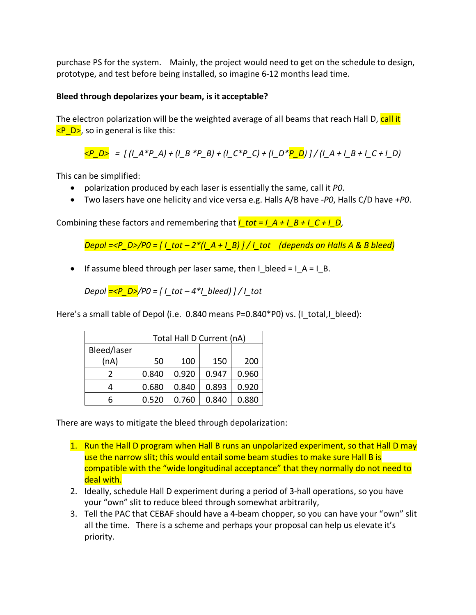purchase PS for the system. Mainly, the project would need to get on the schedule to design, prototype, and test before being installed, so imagine 6-12 months lead time.

## **Bleed through depolarizes your beam, is it acceptable?**

The electron polarization will be the weighted average of all beams that reach Hall D, call it  $\langle P, D \rangle$ , so in general is like this:

 $\langle P \ D \rangle = \int (I \ A^* P \ A) + (I \ B^* P \ B) + (I \ C^* P \ C) + (I \ D^* P \ D) \frac{1}{I} + (I \ A + I \ B + I \ C + I \ D)$ 

This can be simplified:

- polarization produced by each laser is essentially the same, call it *P0*.
- Two lasers have one helicity and vice versa e.g. Halls A/B have *-P0*, Halls C/D have *+P0*.

Combining these factors and remembering that  $I_0$  tot =  $I_0A + I_0B + I_1C + I_0D$ ,

*Depol =<P\_D>/P0 = [ I\_tot – 2\*(I\_A + I\_B) ] / I\_tot (depends on Halls A & B bleed)*

• If assume bleed through per laser same, then I bleed =  $I$  A = I\_B.

*Depol =<P\_D>/P0 = [ I\_tot – 4\*I\_bleed) ] / I\_tot* 

Here's a small table of Depol (i.e. 0.840 means P=0.840\*P0) vs. (I\_total,I\_bleed):

|             | Total Hall D Current (nA) |       |       |       |
|-------------|---------------------------|-------|-------|-------|
| Bleed/laser |                           |       |       |       |
| (nA)        | 50                        | 100   | 150   | 200   |
|             | 0.840                     | 0.920 | 0.947 | 0.960 |
|             | 0.680                     | 0.840 | 0.893 | 0.920 |
|             | 0.520                     | 0.760 | 0.840 | 0.880 |

There are ways to mitigate the bleed through depolarization:

- 1. Run the Hall D program when Hall B runs an unpolarized experiment, so that Hall D may use the narrow slit; this would entail some beam studies to make sure Hall B is compatible with the "wide longitudinal acceptance" that they normally do not need to deal with.
- 2. Ideally, schedule Hall D experiment during a period of 3-hall operations, so you have your "own" slit to reduce bleed through somewhat arbitrarily,
- 3. Tell the PAC that CEBAF should have a 4-beam chopper, so you can have your "own" slit all the time. There is a scheme and perhaps your proposal can help us elevate it's priority.